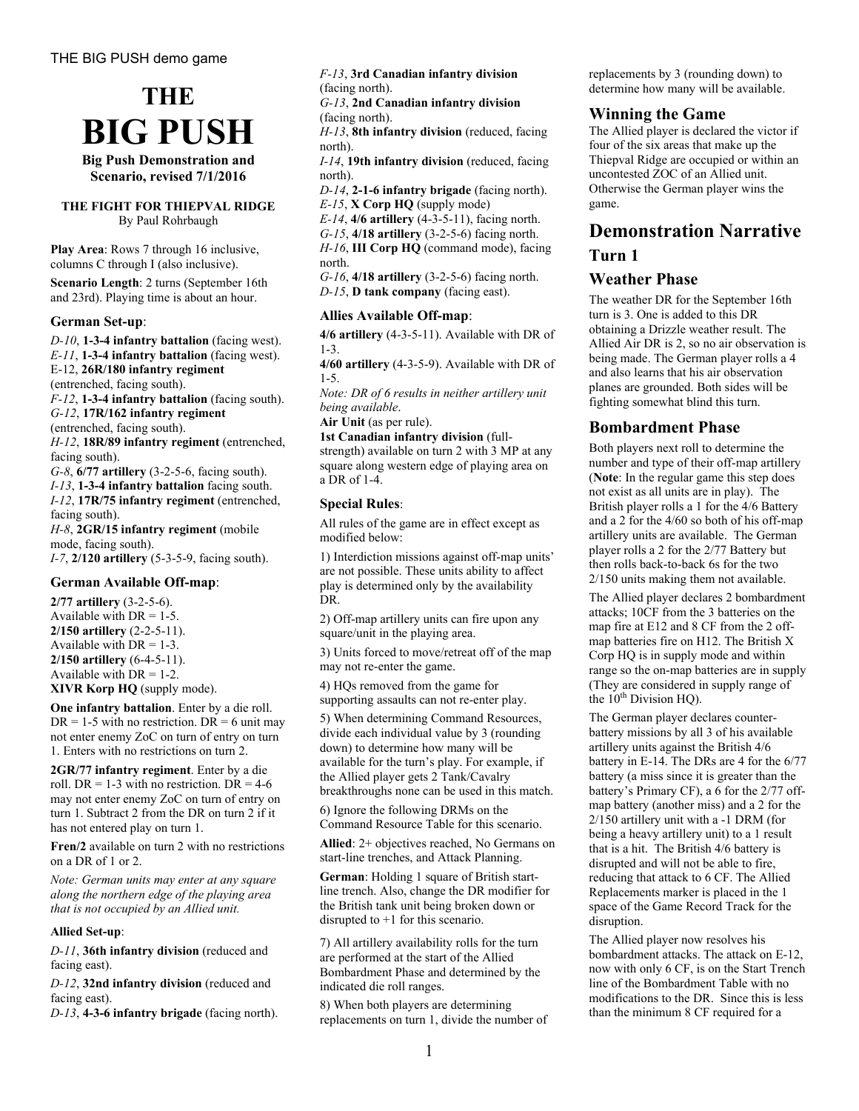

**Big Push Demonstration and Scenario, revised 7/1/2016**

#### **THE FIGHT FOR THIEPVAL RIDGE**  By Paul Rohrbaugh

**Play Area**: Rows 7 through 16 inclusive, columns C through I (also inclusive).

**Scenario Length**: 2 turns (September 16th and 23rd). Playing time is about an hour.

#### **German Set-up**:

*D-10*, **1-3-4 infantry battalion** (facing west). *E-11*, **1-3-4 infantry battalion** (facing west). E-12, **26R/180 infantry regiment** (entrenched, facing south). *F-12*, **1-3-4 infantry battalion** (facing south). *G-12*, **17R/162 infantry regiment** (entrenched, facing south). *H-12*, **18R/89 infantry regiment** (entrenched, facing south). *G-8*, **6/77 artillery** (3-2-5-6, facing south). *I-13*, **1-3-4 infantry battalion** facing south. *I-12*, **17R/75 infantry regiment** (entrenched, facing south). *H-8*, **2GR/15 infantry regiment** (mobile mode, facing south). *I-7*, **2/120 artillery** (5-3-5-9, facing south).

#### **German Available Off-map**:

**2/77 artillery** (3-2-5-6). Available with  $DR = 1-5$ . **2/150 artillery** (2-2-5-11). Available with  $DR = 1-3$ . **2/150 artillery** (6-4-5-11). Available with  $DR = 1-2$ . **XIVR Korp HQ** (supply mode).

**One infantry battalion**. Enter by a die roll.  $DR = 1-5$  with no restriction.  $DR = 6$  unit may not enter enemy ZoC on turn of entry on turn 1. Enters with no restrictions on turn 2.

**2GR/77 infantry regiment**. Enter by a die roll. DR = 1-3 with no restriction. DR =  $4-6$ may not enter enemy ZoC on turn of entry on turn 1. Subtract 2 from the DR on turn 2 if it has not entered play on turn 1.

**Fren/2** available on turn 2 with no restrictions on a DR of 1 or 2.

*Note: German units may enter at any square along the northern edge of the playing area that is not occupied by an Allied unit.* 

#### **Allied Set-up**:

*D-11*, **36th infantry division** (reduced and facing east).

*D-12*, **32nd infantry division** (reduced and facing east).

*D-13*, **4-3-6 infantry brigade** (facing north).

*F-13*, **3rd Canadian infantry division** (facing north).

*G-13*, **2nd Canadian infantry division** (facing north).

*H-13*, **8th infantry division** (reduced, facing north).

*I-14*, **19th infantry division** (reduced, facing north).

*D-14*, **2-1-6 infantry brigade** (facing north). *E-15*, **X Corp HQ** (supply mode)

*E-14*, **4/6 artillery** (4-3-5-11), facing north.

*G-15*, **4/18 artillery** (3-2-5-6) facing north.

*H-16*, **III Corp HQ** (command mode), facing north.

*G-16*, **4/18 artillery** (3-2-5-6) facing north. *D-15*, **D tank company** (facing east).

#### **Allies Available Off-map**:

**4/6 artillery** (4-3-5-11). Available with DR of 1-3.

**4/60 artillery** (4-3-5-9). Available with DR of 1-5.

*Note: DR of 6 results in neither artillery unit being available*.

**Air Unit** (as per rule).

**1st Canadian infantry division** (fullstrength) available on turn 2 with 3 MP at any square along western edge of playing area on a DR of 1-4.

#### **Special Rules**:

All rules of the game are in effect except as modified below:

1) Interdiction missions against off-map units' are not possible. These units ability to affect play is determined only by the availability DR.

2) Off-map artillery units can fire upon any square/unit in the playing area.

3) Units forced to move/retreat off of the map may not re-enter the game.

4) HQs removed from the game for supporting assaults can not re-enter play.

5) When determining Command Resources, divide each individual value by 3 (rounding down) to determine how many will be available for the turn's play. For example, if the Allied player gets 2 Tank/Cavalry breakthroughs none can be used in this match.

6) Ignore the following DRMs on the Command Resource Table for this scenario.

**Allied**: 2+ objectives reached, No Germans on start-line trenches, and Attack Planning.

**German**: Holding 1 square of British startline trench. Also, change the DR modifier for the British tank unit being broken down or disrupted to +1 for this scenario.

7) All artillery availability rolls for the turn are performed at the start of the Allied Bombardment Phase and determined by the indicated die roll ranges.

8) When both players are determining replacements on turn 1, divide the number of replacements by 3 (rounding down) to determine how many will be available.

#### **Winning the Game**

The Allied player is declared the victor if four of the six areas that make up the Thiepval Ridge are occupied or within an uncontested ZOC of an Allied unit. Otherwise the German player wins the game.

# **Demonstration Narrative Turn 1**

### **Weather Phase**

The weather DR for the September 16th turn is 3. One is added to this DR obtaining a Drizzle weather result. The Allied Air DR is 2, so no air observation is being made. The German player rolls a 4 and also learns that his air observation planes are grounded. Both sides will be fighting somewhat blind this turn.

### **Bombardment Phase**

Both players next roll to determine the number and type of their off-map artillery (**Note**: In the regular game this step does not exist as all units are in play). The British player rolls a 1 for the 4/6 Battery and a 2 for the 4/60 so both of his off-map artillery units are available. The German player rolls a 2 for the 2/77 Battery but then rolls back-to-back 6s for the two 2/150 units making them not available.

The Allied player declares 2 bombardment attacks; 10CF from the 3 batteries on the map fire at E12 and 8 CF from the 2 offmap batteries fire on H12. The British X Corp HQ is in supply mode and within range so the on-map batteries are in supply (They are considered in supply range of the  $10<sup>th</sup>$  Division HQ).

The German player declares counterbattery missions by all 3 of his available artillery units against the British 4/6 battery in E-14. The DRs are 4 for the 6/77 battery (a miss since it is greater than the battery's Primary CF), a 6 for the 2/77 offmap battery (another miss) and a 2 for the 2/150 artillery unit with a -1 DRM (for being a heavy artillery unit) to a 1 result that is a hit. The British 4/6 battery is disrupted and will not be able to fire, reducing that attack to 6 CF. The Allied Replacements marker is placed in the 1 space of the Game Record Track for the disruption.

The Allied player now resolves his bombardment attacks. The attack on E-12, now with only 6 CF, is on the Start Trench line of the Bombardment Table with no modifications to the DR. Since this is less than the minimum 8 CF required for a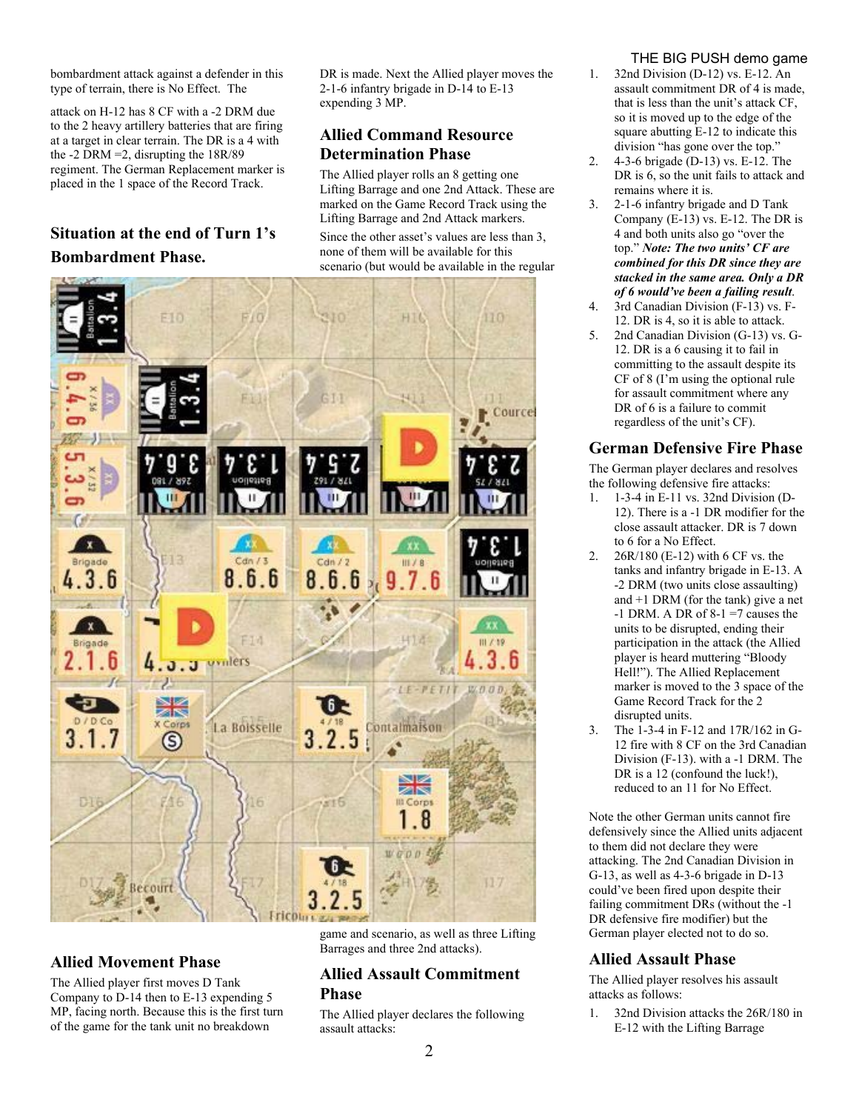bombardment attack against a defender in this type of terrain, there is No Effect. The

attack on H-12 has 8 CF with a -2 DRM due to the 2 heavy artillery batteries that are firing at a target in clear terrain. The DR is a 4 with the -2 DRM =2, disrupting the 18R/89 regiment. The German Replacement marker is placed in the 1 space of the Record Track.

# **Situation at the end of Turn 1's Bombardment Phase.**

DR is made. Next the Allied player moves the 2-1-6 infantry brigade in D-14 to E-13 expending 3 MP.

# **Allied Command Resource Determination Phase**

The Allied player rolls an 8 getting one Lifting Barrage and one 2nd Attack. These are marked on the Game Record Track using the Lifting Barrage and 2nd Attack markers. Since the other asset's values are less than 3, none of them will be available for this scenario (but would be available in the regular



# **Allied Movement Phase**

The Allied player first moves D Tank Company to D-14 then to E-13 expending 5 MP, facing north. Because this is the first turn of the game for the tank unit no breakdown

game and scenario, as well as three Lifting Barrages and three 2nd attacks).

## **Allied Assault Commitment Phase**

The Allied player declares the following assault attacks:

### THE BIG PUSH demo game

- 1. 32nd Division (D-12) vs. E-12. An assault commitment DR of 4 is made, that is less than the unit's attack CF, so it is moved up to the edge of the square abutting E-12 to indicate this division "has gone over the top."
- 2. 4-3-6 brigade (D-13) vs. E-12. The DR is 6, so the unit fails to attack and remains where it is.
- 3. 2-1-6 infantry brigade and D Tank Company (E-13) vs. E-12. The DR is 4 and both units also go "over the top." *Note: The two units' CF are combined for this DR since they are stacked in the same area. Only a DR of 6 would've been a failing result*.
- 4. 3rd Canadian Division (F-13) vs. F-12. DR is 4, so it is able to attack.
- 5. 2nd Canadian Division (G-13) vs. G-12. DR is a 6 causing it to fail in committing to the assault despite its CF of 8 (I'm using the optional rule for assault commitment where any DR of 6 is a failure to commit regardless of the unit's CF).

# **German Defensive Fire Phase**

The German player declares and resolves the following defensive fire attacks:

- 1. 1-3-4 in E-11 vs. 32nd Division (D-12). There is a -1 DR modifier for the close assault attacker. DR is 7 down to 6 for a No Effect.
- 2. 26R/180 (E-12) with 6 CF vs. the tanks and infantry brigade in E-13. A -2 DRM (two units close assaulting) and +1 DRM (for the tank) give a net  $-1$  DRM. A DR of 8-1 =7 causes the units to be disrupted, ending their participation in the attack (the Allied player is heard muttering "Bloody Hell!"). The Allied Replacement marker is moved to the 3 space of the Game Record Track for the 2 disrupted units.
- 3. The 1-3-4 in F-12 and 17R/162 in G-12 fire with 8 CF on the 3rd Canadian Division (F-13). with a -1 DRM. The DR is a 12 (confound the luck!), reduced to an 11 for No Effect.

Note the other German units cannot fire defensively since the Allied units adjacent to them did not declare they were attacking. The 2nd Canadian Division in G-13, as well as 4-3-6 brigade in D-13 could've been fired upon despite their failing commitment DRs (without the -1 DR defensive fire modifier) but the German player elected not to do so.

# **Allied Assault Phase**

The Allied player resolves his assault attacks as follows:

1. 32nd Division attacks the 26R/180 in E-12 with the Lifting Barrage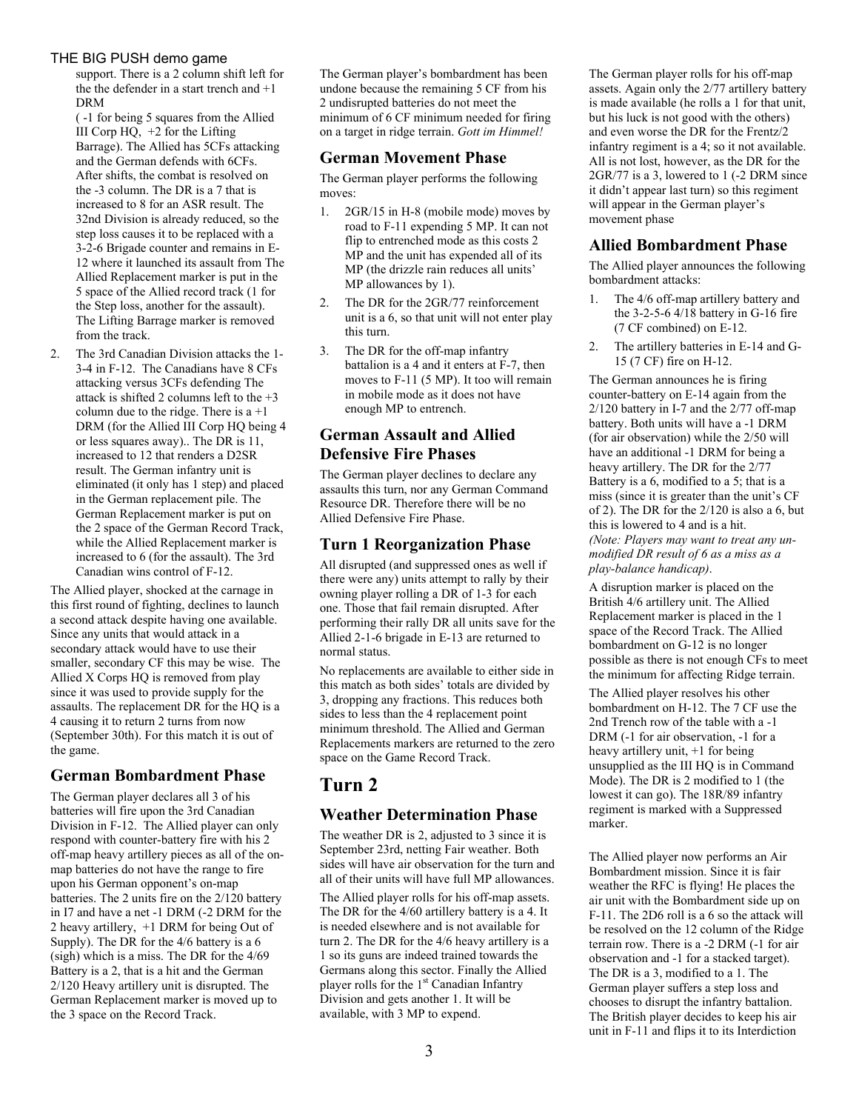#### THE BIG PUSH demo game

support. There is a 2 column shift left for the the defender in a start trench and +1 DRM

( -1 for being 5 squares from the Allied III Corp HQ, +2 for the Lifting Barrage). The Allied has 5CFs attacking and the German defends with 6CFs. After shifts, the combat is resolved on the -3 column. The DR is a 7 that is increased to 8 for an ASR result. The 32nd Division is already reduced, so the step loss causes it to be replaced with a 3-2-6 Brigade counter and remains in E-12 where it launched its assault from The Allied Replacement marker is put in the 5 space of the Allied record track (1 for the Step loss, another for the assault). The Lifting Barrage marker is removed from the track.

2. The 3rd Canadian Division attacks the 1- 3-4 in F-12. The Canadians have 8 CFs attacking versus 3CFs defending The attack is shifted 2 columns left to the  $+3$ column due to the ridge. There is  $a + 1$ DRM (for the Allied III Corp HQ being 4 or less squares away).. The DR is 11, increased to 12 that renders a D2SR result. The German infantry unit is eliminated (it only has 1 step) and placed in the German replacement pile. The German Replacement marker is put on the 2 space of the German Record Track, while the Allied Replacement marker is increased to 6 (for the assault). The 3rd Canadian wins control of F-12.

The Allied player, shocked at the carnage in this first round of fighting, declines to launch a second attack despite having one available. Since any units that would attack in a secondary attack would have to use their smaller, secondary CF this may be wise. The Allied X Corps HQ is removed from play since it was used to provide supply for the assaults. The replacement DR for the HQ is a 4 causing it to return 2 turns from now (September 30th). For this match it is out of the game.

# **German Bombardment Phase**

The German player declares all 3 of his batteries will fire upon the 3rd Canadian Division in F-12. The Allied player can only respond with counter-battery fire with his 2 off-map heavy artillery pieces as all of the onmap batteries do not have the range to fire upon his German opponent's on-map batteries. The 2 units fire on the 2/120 battery in I7 and have a net -1 DRM (-2 DRM for the 2 heavy artillery, +1 DRM for being Out of Supply). The DR for the 4/6 battery is a 6 (sigh) which is a miss. The DR for the 4/69 Battery is a 2, that is a hit and the German 2/120 Heavy artillery unit is disrupted. The German Replacement marker is moved up to the 3 space on the Record Track.

The German player's bombardment has been undone because the remaining 5 CF from his 2 undisrupted batteries do not meet the minimum of 6 CF minimum needed for firing on a target in ridge terrain. *Gott im Himmel!* 

## **German Movement Phase**

The German player performs the following moves:

- 1. 2GR/15 in H-8 (mobile mode) moves by road to F-11 expending 5 MP. It can not flip to entrenched mode as this costs 2 MP and the unit has expended all of its MP (the drizzle rain reduces all units' MP allowances by 1).
- 2. The DR for the 2GR/77 reinforcement unit is a 6, so that unit will not enter play this turn.
- 3. The DR for the off-map infantry battalion is a 4 and it enters at F-7, then moves to F-11 (5 MP). It too will remain in mobile mode as it does not have enough MP to entrench.

# **German Assault and Allied Defensive Fire Phases**

The German player declines to declare any assaults this turn, nor any German Command Resource DR. Therefore there will be no Allied Defensive Fire Phase.

## **Turn 1 Reorganization Phase**

All disrupted (and suppressed ones as well if there were any) units attempt to rally by their owning player rolling a DR of 1-3 for each one. Those that fail remain disrupted. After performing their rally DR all units save for the Allied 2-1-6 brigade in E-13 are returned to normal status.

No replacements are available to either side in this match as both sides' totals are divided by 3, dropping any fractions. This reduces both sides to less than the 4 replacement point minimum threshold. The Allied and German Replacements markers are returned to the zero space on the Game Record Track.

# **Turn 2**

# **Weather Determination Phase**

The weather DR is 2, adjusted to 3 since it is September 23rd, netting Fair weather. Both sides will have air observation for the turn and all of their units will have full MP allowances.

The Allied player rolls for his off-map assets. The DR for the 4/60 artillery battery is a 4. It is needed elsewhere and is not available for turn 2. The DR for the 4/6 heavy artillery is a 1 so its guns are indeed trained towards the Germans along this sector. Finally the Allied player rolls for the 1<sup>st</sup> Canadian Infantry Division and gets another 1. It will be available, with 3 MP to expend.

The German player rolls for his off-map assets. Again only the 2/77 artillery battery is made available (he rolls a 1 for that unit, but his luck is not good with the others) and even worse the DR for the Frentz/2 infantry regiment is a 4; so it not available. All is not lost, however, as the DR for the 2GR/77 is a 3, lowered to 1 (-2 DRM since it didn't appear last turn) so this regiment will appear in the German player's movement phase

## **Allied Bombardment Phase**

The Allied player announces the following bombardment attacks:

- 1. The 4/6 off-map artillery battery and the 3-2-5-6 4/18 battery in G-16 fire (7 CF combined) on E-12.
- 2. The artillery batteries in E-14 and G-15 (7 CF) fire on H-12.

The German announces he is firing counter-battery on E-14 again from the 2/120 battery in I-7 and the 2/77 off-map battery. Both units will have a -1 DRM (for air observation) while the 2/50 will have an additional -1 DRM for being a heavy artillery. The DR for the 2/77 Battery is a 6, modified to a 5; that is a miss (since it is greater than the unit's CF of 2). The DR for the 2/120 is also a 6, but this is lowered to 4 and is a hit. *(Note: Players may want to treat any unmodified DR result of 6 as a miss as a play-balance handicap)*.

A disruption marker is placed on the British 4/6 artillery unit. The Allied Replacement marker is placed in the 1 space of the Record Track. The Allied bombardment on G-12 is no longer possible as there is not enough CFs to meet the minimum for affecting Ridge terrain.

The Allied player resolves his other bombardment on H-12. The 7 CF use the 2nd Trench row of the table with a -1 DRM (-1 for air observation, -1 for a heavy artillery unit, +1 for being unsupplied as the III HQ is in Command Mode). The DR is 2 modified to 1 (the lowest it can go). The 18R/89 infantry regiment is marked with a Suppressed marker.

The Allied player now performs an Air Bombardment mission. Since it is fair weather the RFC is flying! He places the air unit with the Bombardment side up on F-11. The 2D6 roll is a 6 so the attack will be resolved on the 12 column of the Ridge terrain row. There is a -2 DRM (-1 for air observation and -1 for a stacked target). The DR is a 3, modified to a 1. The German player suffers a step loss and chooses to disrupt the infantry battalion. The British player decides to keep his air unit in F-11 and flips it to its Interdiction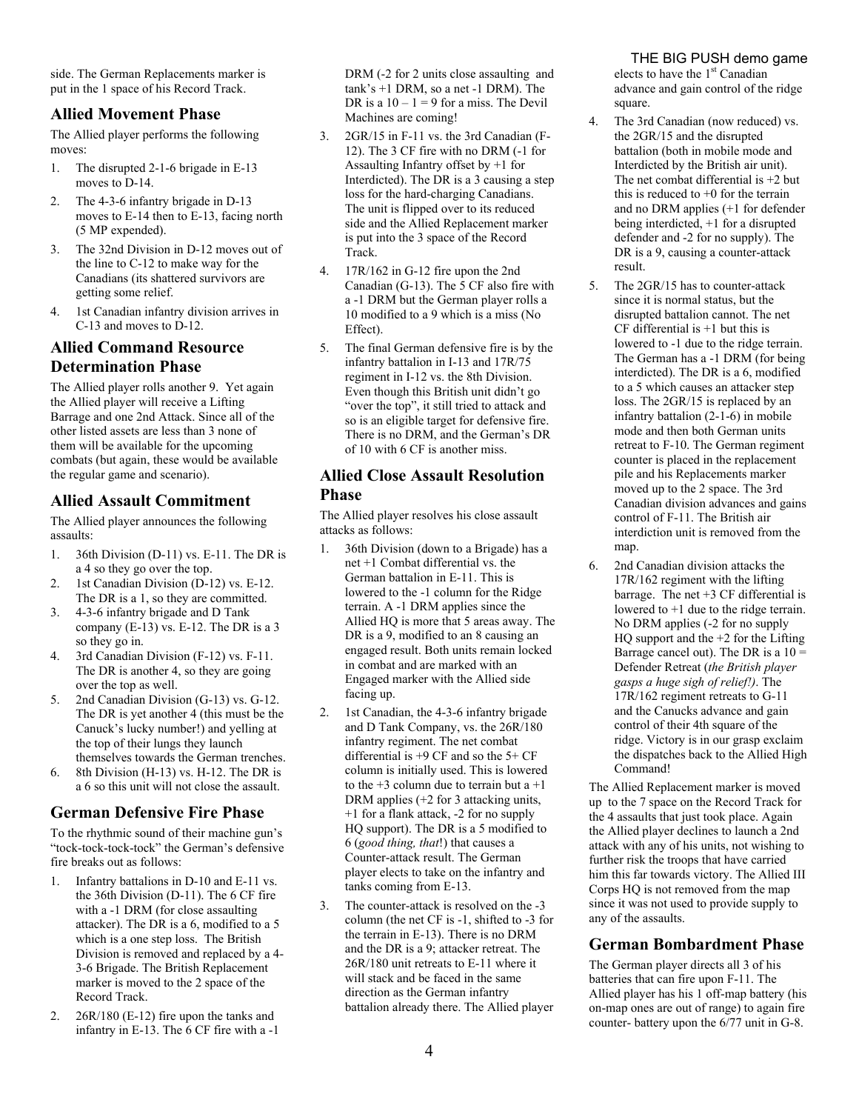side. The German Replacements marker is put in the 1 space of his Record Track.

## **Allied Movement Phase**

The Allied player performs the following moves:

- 1. The disrupted 2-1-6 brigade in E-13 moves to D-14.
- 2. The 4-3-6 infantry brigade in D-13 moves to E-14 then to E-13, facing north (5 MP expended).
- 3. The 32nd Division in D-12 moves out of the line to C-12 to make way for the Canadians (its shattered survivors are getting some relief.
- 4. 1st Canadian infantry division arrives in C-13 and moves to D-12.

# **Allied Command Resource Determination Phase**

The Allied player rolls another 9. Yet again the Allied player will receive a Lifting Barrage and one 2nd Attack. Since all of the other listed assets are less than 3 none of them will be available for the upcoming combats (but again, these would be available the regular game and scenario).

# **Allied Assault Commitment**

The Allied player announces the following assaults:

- 1. 36th Division (D-11) vs. E-11. The DR is a 4 so they go over the top.
- 2. 1st Canadian Division (D-12) vs. E-12. The DR is a 1, so they are committed.
- 3. 4-3-6 infantry brigade and D Tank company (E-13) vs. E-12. The DR is a 3 so they go in.
- 4. 3rd Canadian Division (F-12) vs. F-11. The DR is another 4, so they are going over the top as well.
- 5. 2nd Canadian Division (G-13) vs. G-12. The DR is yet another 4 (this must be the Canuck's lucky number!) and yelling at the top of their lungs they launch themselves towards the German trenches.
- 6. 8th Division (H-13) vs. H-12. The DR is a 6 so this unit will not close the assault.

## **German Defensive Fire Phase**

To the rhythmic sound of their machine gun's "tock-tock-tock-tock" the German's defensive fire breaks out as follows:

- 1. Infantry battalions in D-10 and E-11 vs. the 36th Division (D-11). The 6 CF fire with a -1 DRM (for close assaulting attacker). The DR is a 6, modified to a 5 which is a one step loss. The British Division is removed and replaced by a 4- 3-6 Brigade. The British Replacement marker is moved to the 2 space of the Record Track.
- 2. 26R/180 (E-12) fire upon the tanks and infantry in E-13. The 6 CF fire with a -1

DRM (-2 for 2 units close assaulting and tank's +1 DRM, so a net -1 DRM). The DR is a  $10 - 1 = 9$  for a miss. The Devil Machines are coming!

- 3. 2GR/15 in F-11 vs. the 3rd Canadian (F-12). The 3 CF fire with no DRM (-1 for Assaulting Infantry offset by +1 for Interdicted). The DR is a 3 causing a step loss for the hard-charging Canadians. The unit is flipped over to its reduced side and the Allied Replacement marker is put into the 3 space of the Record Track.
- 4. 17R/162 in G-12 fire upon the 2nd Canadian (G-13). The 5 CF also fire with a -1 DRM but the German player rolls a 10 modified to a 9 which is a miss (No Effect).
- 5. The final German defensive fire is by the infantry battalion in I-13 and 17R/75 regiment in I-12 vs. the 8th Division. Even though this British unit didn't go "over the top", it still tried to attack and so is an eligible target for defensive fire. There is no DRM, and the German's DR of 10 with 6 CF is another miss.

## **Allied Close Assault Resolution Phase**

The Allied player resolves his close assault attacks as follows:

- 1. 36th Division (down to a Brigade) has a net +1 Combat differential vs. the German battalion in E-11. This is lowered to the -1 column for the Ridge terrain. A -1 DRM applies since the Allied HQ is more that 5 areas away. The DR is a 9, modified to an 8 causing an engaged result. Both units remain locked in combat and are marked with an Engaged marker with the Allied side facing up.
- 2. 1st Canadian, the 4-3-6 infantry brigade and D Tank Company, vs. the 26R/180 infantry regiment. The net combat differential is +9 CF and so the 5+ CF column is initially used. This is lowered to the  $+3$  column due to terrain but a  $+1$ DRM applies (+2 for 3 attacking units, +1 for a flank attack, -2 for no supply HQ support). The DR is a 5 modified to 6 (*good thing, that*!) that causes a Counter-attack result. The German player elects to take on the infantry and tanks coming from E-13.
- 3. The counter-attack is resolved on the -3 column (the net CF is -1, shifted to -3 for the terrain in E-13). There is no DRM and the DR is a 9; attacker retreat. The 26R/180 unit retreats to E-11 where it will stack and be faced in the same direction as the German infantry battalion already there. The Allied player

#### THE BIG PUSH demo game

elects to have the  $1<sup>st</sup>$  Canadian advance and gain control of the ridge square.

- 4. The 3rd Canadian (now reduced) vs. the 2GR/15 and the disrupted battalion (both in mobile mode and Interdicted by the British air unit). The net combat differential is  $+2$  but this is reduced to  $+0$  for the terrain and no DRM applies (+1 for defender being interdicted, +1 for a disrupted defender and -2 for no supply). The DR is a 9, causing a counter-attack result.
- 5. The 2GR/15 has to counter-attack since it is normal status, but the disrupted battalion cannot. The net CF differential is  $+1$  but this is lowered to -1 due to the ridge terrain. The German has a -1 DRM (for being interdicted). The DR is a 6, modified to a 5 which causes an attacker step loss. The 2GR/15 is replaced by an infantry battalion (2-1-6) in mobile mode and then both German units retreat to F-10. The German regiment counter is placed in the replacement pile and his Replacements marker moved up to the 2 space. The 3rd Canadian division advances and gains control of F-11. The British air interdiction unit is removed from the map.
- 6. 2nd Canadian division attacks the 17R/162 regiment with the lifting barrage. The net +3 CF differential is lowered to +1 due to the ridge terrain. No DRM applies (-2 for no supply HQ support and the +2 for the Lifting Barrage cancel out). The DR is a  $10 =$ Defender Retreat (*the British player gasps a huge sigh of relief!)*. The 17R/162 regiment retreats to G-11 and the Canucks advance and gain control of their 4th square of the ridge. Victory is in our grasp exclaim the dispatches back to the Allied High Command!

The Allied Replacement marker is moved up to the 7 space on the Record Track for the 4 assaults that just took place. Again the Allied player declines to launch a 2nd attack with any of his units, not wishing to further risk the troops that have carried him this far towards victory. The Allied III Corps HQ is not removed from the map since it was not used to provide supply to any of the assaults.

## **German Bombardment Phase**

The German player directs all 3 of his batteries that can fire upon F-11. The Allied player has his 1 off-map battery (his on-map ones are out of range) to again fire counter- battery upon the 6/77 unit in G-8.